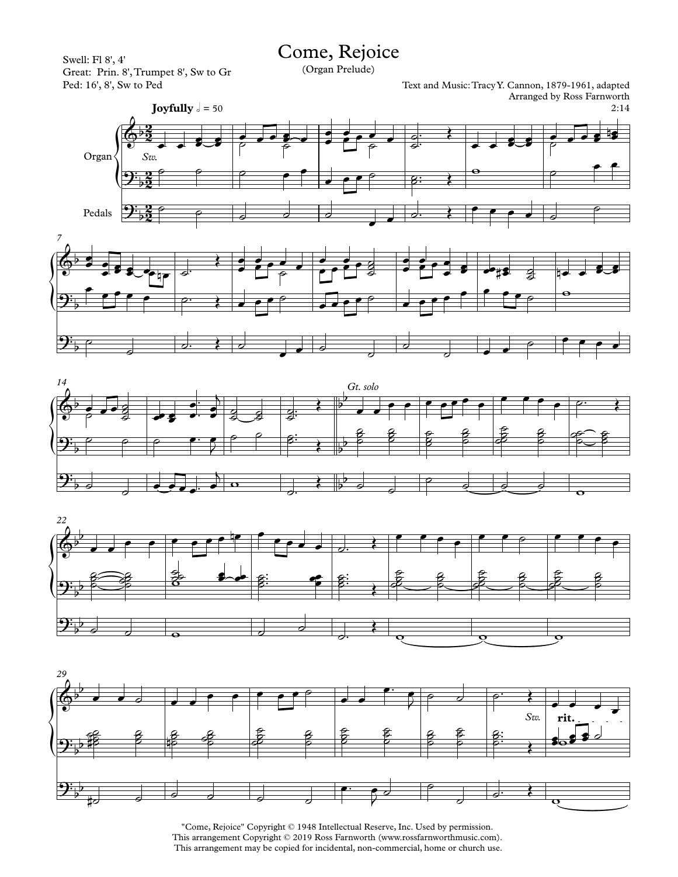Swell: Fl 8', 4' Great: Prin. 8',Trumpet 8', Sw to Gr Ped: 16', 8', Sw to Ped

## Come, Rejoice

(Organ Prelude)

Text and Music:TracyY. Cannon, 1879-1961, adapted Arranged by Ross Farnworth









"Come, Rejoice" Copyright © 1948 Intellectual Reserve, Inc. Used by permission. This arrangement Copyright © 2019 Ross Farnworth (www.rossfarnworthmusic.com). This arrangement may be copied for incidental, non-commercial, home or church use.